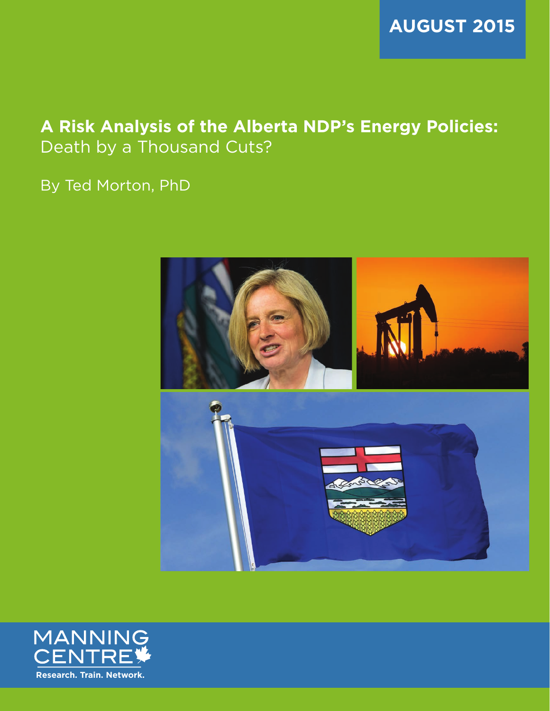

# **A Risk Analysis of the Alberta NDP's Energy Policies:**  Death by a Thousand Cuts?

By Ted Morton, PhD



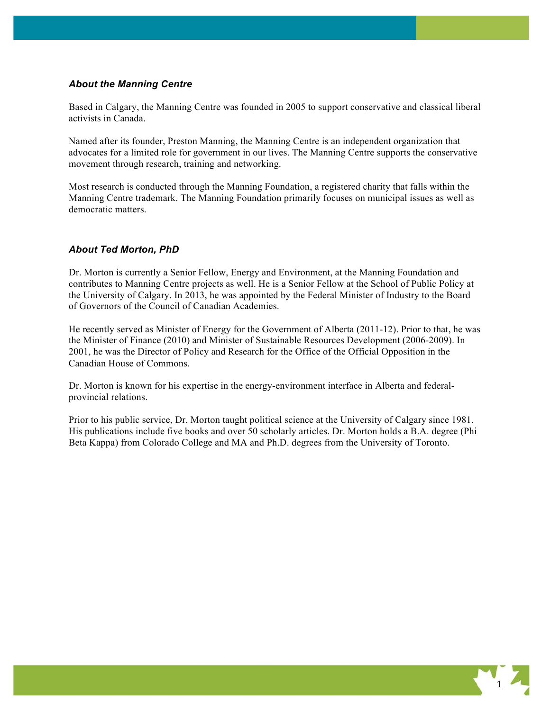# *About the Manning Centre*

Based in Calgary, the Manning Centre was founded in 2005 to support conservative and classical liberal activists in Canada.

Named after its founder, Preston Manning, the Manning Centre is an independent organization that advocates for a limited role for government in our lives. The Manning Centre supports the conservative movement through research, training and networking.

Most research is conducted through the Manning Foundation, a registered charity that falls within the Manning Centre trademark. The Manning Foundation primarily focuses on municipal issues as well as democratic matters.

# *About Ted Morton, PhD*

Dr. Morton is currently a Senior Fellow, Energy and Environment, at the Manning Foundation and contributes to Manning Centre projects as well. He is a Senior Fellow at the School of Public Policy at the University of Calgary. In 2013, he was appointed by the Federal Minister of Industry to the Board of Governors of the Council of Canadian Academies.

He recently served as Minister of Energy for the Government of Alberta (2011-12). Prior to that, he was the Minister of Finance (2010) and Minister of Sustainable Resources Development (2006-2009). In 2001, he was the Director of Policy and Research for the Office of the Official Opposition in the Canadian House of Commons.

Dr. Morton is known for his expertise in the energy-environment interface in Alberta and federalprovincial relations.

Prior to his public service, Dr. Morton taught political science at the University of Calgary since 1981. His publications include five books and over 50 scholarly articles. Dr. Morton holds a B.A. degree (Phi Beta Kappa) from Colorado College and MA and Ph.D. degrees from the University of Toronto.

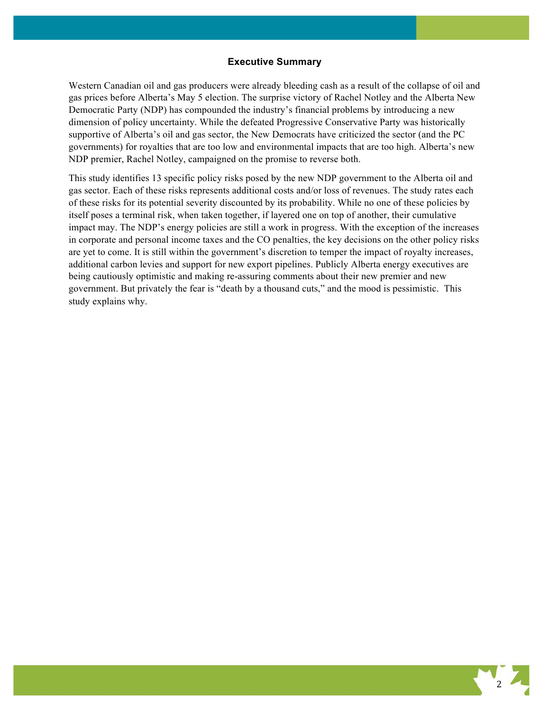#### **Executive Summary**

Western Canadian oil and gas producers were already bleeding cash as a result of the collapse of oil and gas prices before Alberta's May 5 election. The surprise victory of Rachel Notley and the Alberta New Democratic Party (NDP) has compounded the industry's financial problems by introducing a new dimension of policy uncertainty. While the defeated Progressive Conservative Party was historically supportive of Alberta's oil and gas sector, the New Democrats have criticized the sector (and the PC governments) for royalties that are too low and environmental impacts that are too high. Alberta's new NDP premier, Rachel Notley, campaigned on the promise to reverse both.

This study identifies 13 specific policy risks posed by the new NDP government to the Alberta oil and gas sector. Each of these risks represents additional costs and/or loss of revenues. The study rates each of these risks for its potential severity discounted by its probability. While no one of these policies by itself poses a terminal risk, when taken together, if layered one on top of another, their cumulative impact may. The NDP's energy policies are still a work in progress. With the exception of the increases in corporate and personal income taxes and the CO penalties, the key decisions on the other policy risks are yet to come. It is still within the government's discretion to temper the impact of royalty increases, additional carbon levies and support for new export pipelines. Publicly Alberta energy executives are being cautiously optimistic and making re-assuring comments about their new premier and new government. But privately the fear is "death by a thousand cuts," and the mood is pessimistic. This study explains why.

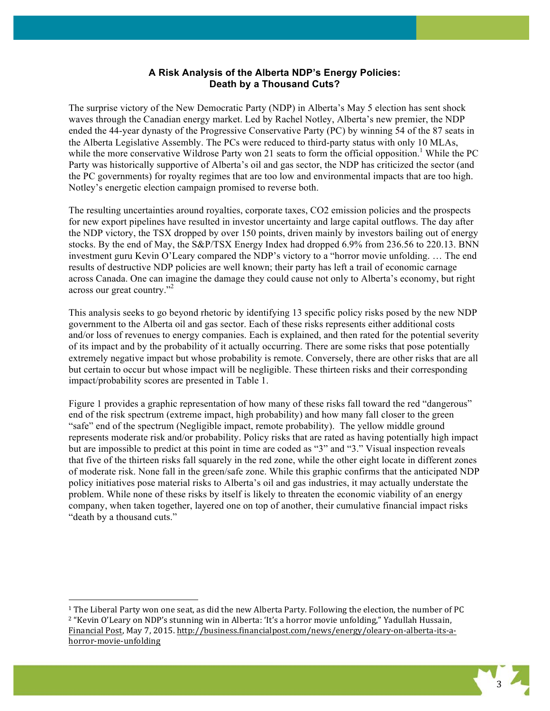# **A Risk Analysis of the Alberta NDP's Energy Policies: Death by a Thousand Cuts?**

The surprise victory of the New Democratic Party (NDP) in Alberta's May 5 election has sent shock waves through the Canadian energy market. Led by Rachel Notley, Alberta's new premier, the NDP ended the 44-year dynasty of the Progressive Conservative Party (PC) by winning 54 of the 87 seats in the Alberta Legislative Assembly. The PCs were reduced to third-party status with only 10 MLAs, while the more conservative Wildrose Party won 21 seats to form the official opposition.<sup>1</sup> While the PC Party was historically supportive of Alberta's oil and gas sector, the NDP has criticized the sector (and the PC governments) for royalty regimes that are too low and environmental impacts that are too high. Notley's energetic election campaign promised to reverse both.

The resulting uncertainties around royalties, corporate taxes, CO2 emission policies and the prospects for new export pipelines have resulted in investor uncertainty and large capital outflows. The day after the NDP victory, the TSX dropped by over 150 points, driven mainly by investors bailing out of energy stocks. By the end of May, the S&P/TSX Energy Index had dropped 6.9% from 236.56 to 220.13. BNN investment guru Kevin O'Leary compared the NDP's victory to a "horror movie unfolding. … The end results of destructive NDP policies are well known; their party has left a trail of economic carnage across Canada. One can imagine the damage they could cause not only to Alberta's economy, but right across our great country."2

This analysis seeks to go beyond rhetoric by identifying 13 specific policy risks posed by the new NDP government to the Alberta oil and gas sector. Each of these risks represents either additional costs and/or loss of revenues to energy companies. Each is explained, and then rated for the potential severity of its impact and by the probability of it actually occurring. There are some risks that pose potentially extremely negative impact but whose probability is remote. Conversely, there are other risks that are all but certain to occur but whose impact will be negligible. These thirteen risks and their corresponding impact/probability scores are presented in Table 1.

Figure 1 provides a graphic representation of how many of these risks fall toward the red "dangerous" end of the risk spectrum (extreme impact, high probability) and how many fall closer to the green "safe" end of the spectrum (Negligible impact, remote probability). The yellow middle ground represents moderate risk and/or probability. Policy risks that are rated as having potentially high impact but are impossible to predict at this point in time are coded as "3" and "3." Visual inspection reveals that five of the thirteen risks fall squarely in the red zone, while the other eight locate in different zones of moderate risk. None fall in the green/safe zone. While this graphic confirms that the anticipated NDP policy initiatives pose material risks to Alberta's oil and gas industries, it may actually understate the problem. While none of these risks by itself is likely to threaten the economic viability of an energy company, when taken together, layered one on top of another, their cumulative financial impact risks "death by a thousand cuts."



 $1$  The Liberal Party won one seat, as did the new Alberta Party. Following the election, the number of PC <sup>2</sup> "Kevin O'Leary on NDP's stunning win in Alberta: 'It's a horror movie unfolding," Yadullah Hussain, Financial Post, May 7, 2015. http://business.financialpost.com/news/energy/oleary-on-alberta-its-ahorror-movie-unfolding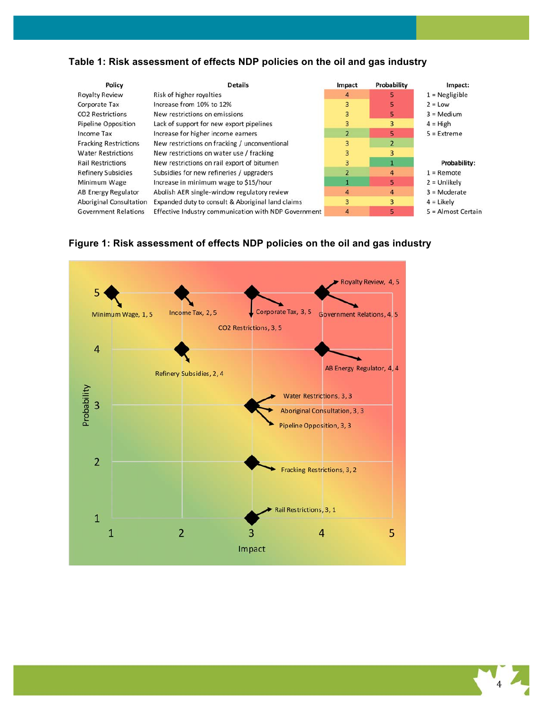# **Table 1: Risk assessment of effects NDP policies on the oil and gas industry**

| Policy                         | <b>Details</b>                                       | Impact         | Probability    | Impact:              |
|--------------------------------|------------------------------------------------------|----------------|----------------|----------------------|
| <b>Royalty Review</b>          | Risk of higher royalties                             | 4              |                | $1 = Negligible$     |
| Corporate Tax                  | Increase from 10% to 12%                             | 3              | 5              | $2 = Low$            |
| <b>CO2</b> Restrictions        | New restrictions on emissions                        | 3              | 5.             | $3 = Medium$         |
| <b>Pipeline Opposition</b>     | Lack of support for new export pipelines             | 3              | 3              | $4 = High$           |
| Income Tax                     | Increase for higher income earners                   | $\overline{2}$ | 5              | $5 =$ Extreme        |
| <b>Fracking Restrictions</b>   | New restrictions on fracking / unconventional        | 3              | $\overline{2}$ |                      |
| <b>Water Restrictions</b>      | New restrictions on water use / fracking             | 3              | 3              |                      |
| <b>Rail Restrictions</b>       | New restrictions on rail export of bitumen           | 3              | $\mathbf{1}$   | Probability:         |
| <b>Refinery Subsidies</b>      | Subsidies for new refineries / upgraders             | $\overline{2}$ | 4              | $1 =$ Remote         |
| Minimum Wage                   | Increase in minimum wage to \$15/hour                |                | 5              | $2 =$ Unlikely       |
| AB Energy Regulator            | Abolish AER single-window regulatory review          | $\overline{4}$ | 4              | $3 = $ Moderate      |
| <b>Aboriginal Consultation</b> | Expanded duty to consult & Aboriginal land claims    | 3              | 3              | $4 =$ Likely         |
| <b>Government Relations</b>    | Effective Industry communication with NDP Government | 4              | 5              | $5 =$ Almost Certain |



# **Figure 1: Risk assessment of effects NDP policies on the oil and gas industry**

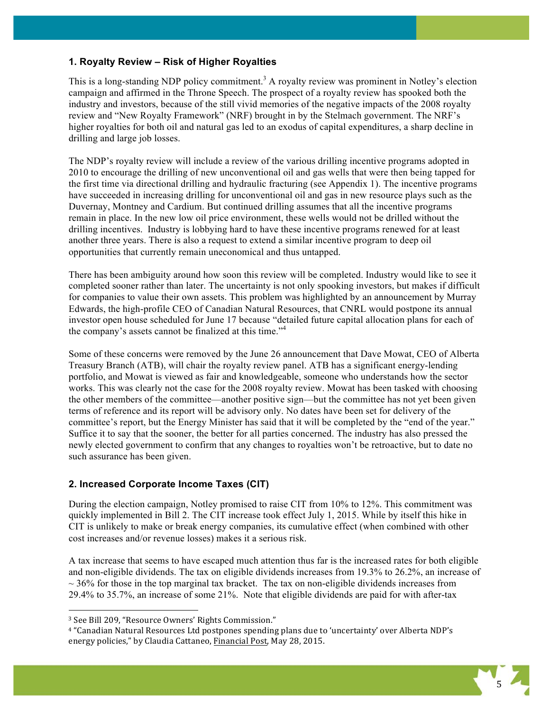## **1. Royalty Review – Risk of Higher Royalties**

This is a long-standing NDP policy commitment.<sup>3</sup> A royalty review was prominent in Notley's election campaign and affirmed in the Throne Speech. The prospect of a royalty review has spooked both the industry and investors, because of the still vivid memories of the negative impacts of the 2008 royalty review and "New Royalty Framework" (NRF) brought in by the Stelmach government. The NRF's higher royalties for both oil and natural gas led to an exodus of capital expenditures, a sharp decline in drilling and large job losses.

The NDP's royalty review will include a review of the various drilling incentive programs adopted in 2010 to encourage the drilling of new unconventional oil and gas wells that were then being tapped for the first time via directional drilling and hydraulic fracturing (see Appendix 1). The incentive programs have succeeded in increasing drilling for unconventional oil and gas in new resource plays such as the Duvernay, Montney and Cardium. But continued drilling assumes that all the incentive programs remain in place. In the new low oil price environment, these wells would not be drilled without the drilling incentives. Industry is lobbying hard to have these incentive programs renewed for at least another three years. There is also a request to extend a similar incentive program to deep oil opportunities that currently remain uneconomical and thus untapped.

There has been ambiguity around how soon this review will be completed. Industry would like to see it completed sooner rather than later. The uncertainty is not only spooking investors, but makes if difficult for companies to value their own assets. This problem was highlighted by an announcement by Murray Edwards, the high-profile CEO of Canadian Natural Resources, that CNRL would postpone its annual investor open house scheduled for June 17 because "detailed future capital allocation plans for each of the company's assets cannot be finalized at this time."<sup>4</sup>

Some of these concerns were removed by the June 26 announcement that Dave Mowat, CEO of Alberta Treasury Branch (ATB), will chair the royalty review panel. ATB has a significant energy-lending portfolio, and Mowat is viewed as fair and knowledgeable, someone who understands how the sector works. This was clearly not the case for the 2008 royalty review. Mowat has been tasked with choosing the other members of the committee—another positive sign—but the committee has not yet been given terms of reference and its report will be advisory only. No dates have been set for delivery of the committee's report, but the Energy Minister has said that it will be completed by the "end of the year." Suffice it to say that the sooner, the better for all parties concerned. The industry has also pressed the newly elected government to confirm that any changes to royalties won't be retroactive, but to date no such assurance has been given.

# **2. Increased Corporate Income Taxes (CIT)**

During the election campaign, Notley promised to raise CIT from 10% to 12%. This commitment was quickly implemented in Bill 2. The CIT increase took effect July 1, 2015. While by itself this hike in CIT is unlikely to make or break energy companies, its cumulative effect (when combined with other cost increases and/or revenue losses) makes it a serious risk.

A tax increase that seems to have escaped much attention thus far is the increased rates for both eligible and non-eligible dividends. The tax on eligible dividends increases from 19.3% to 26.2%, an increase of  $\sim$  36% for those in the top marginal tax bracket. The tax on non-eligible dividends increases from 29.4% to 35.7%, an increase of some 21%. Note that eligible dividends are paid for with after-tax

<sup>&</sup>lt;sup>4</sup> "Canadian Natural Resources Ltd postpones spending plans due to 'uncertainty' over Alberta NDP's energy policies," by Claudia Cattaneo, Financial Post, May 28, 2015.



<sup>&</sup>lt;sup>3</sup> See Bill 209, "Resource Owners' Rights Commission."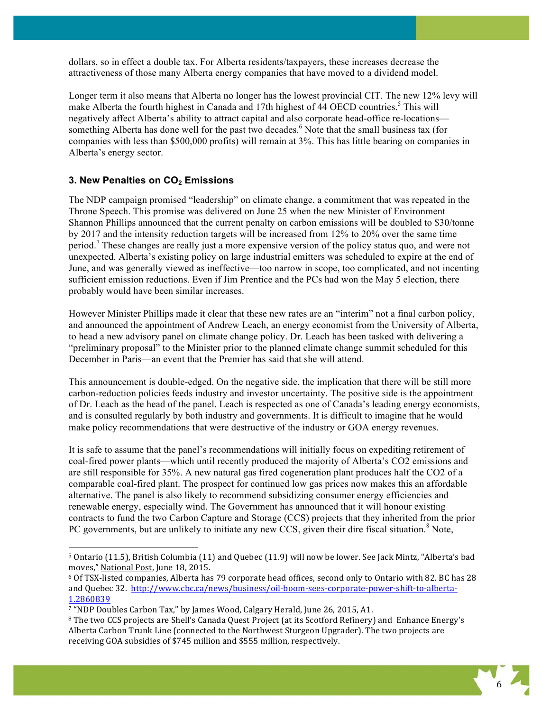dollars, so in effect a double tax. For Alberta residents/taxpayers, these increases decrease the attractiveness of those many Alberta energy companies that have moved to a dividend model.

Longer term it also means that Alberta no longer has the lowest provincial CIT. The new 12% levy will make Alberta the fourth highest in Canada and 17th highest of 44 OECD countries.<sup>5</sup> This will negatively affect Alberta's ability to attract capital and also corporate head-office re-locations something Alberta has done well for the past two decades.<sup>6</sup> Note that the small business tax (for companies with less than \$500,000 profits) will remain at 3%. This has little bearing on companies in Alberta's energy sector.

## **3. New Penalties on CO2 Emissions**

!!!!!!!!!!!!!!!!!!!!!!!!!!!!!!!!!!!!!!!!!!!!!!!!!!!!!!!!!!!!

The NDP campaign promised "leadership" on climate change, a commitment that was repeated in the Throne Speech. This promise was delivered on June 25 when the new Minister of Environment Shannon Phillips announced that the current penalty on carbon emissions will be doubled to \$30/tonne by 2017 and the intensity reduction targets will be increased from 12% to 20% over the same time period.<sup>7</sup> These changes are really just a more expensive version of the policy status quo, and were not unexpected. Alberta's existing policy on large industrial emitters was scheduled to expire at the end of June, and was generally viewed as ineffective—too narrow in scope, too complicated, and not incenting sufficient emission reductions. Even if Jim Prentice and the PCs had won the May 5 election, there probably would have been similar increases.

However Minister Phillips made it clear that these new rates are an "interim" not a final carbon policy, and announced the appointment of Andrew Leach, an energy economist from the University of Alberta, to head a new advisory panel on climate change policy. Dr. Leach has been tasked with delivering a "preliminary proposal" to the Minister prior to the planned climate change summit scheduled for this December in Paris—an event that the Premier has said that she will attend.

This announcement is double-edged. On the negative side, the implication that there will be still more carbon-reduction policies feeds industry and investor uncertainty. The positive side is the appointment of Dr. Leach as the head of the panel. Leach is respected as one of Canada's leading energy economists, and is consulted regularly by both industry and governments. It is difficult to imagine that he would make policy recommendations that were destructive of the industry or GOA energy revenues.

It is safe to assume that the panel's recommendations will initially focus on expediting retirement of coal-fired power plants—which until recently produced the majority of Alberta's CO2 emissions and are still responsible for 35%. A new natural gas fired cogeneration plant produces half the CO2 of a comparable coal-fired plant. The prospect for continued low gas prices now makes this an affordable alternative. The panel is also likely to recommend subsidizing consumer energy efficiencies and renewable energy, especially wind. The Government has announced that it will honour existing contracts to fund the two Carbon Capture and Storage (CCS) projects that they inherited from the prior PC governments, but are unlikely to initiate any new CCS, given their dire fiscal situation.<sup>8</sup> Note,

<sup>&</sup>lt;sup>8</sup> The two CCS projects are Shell's Canada Quest Project (at its Scotford Refinery) and Enhance Energy's Alberta Carbon Trunk Line (connected to the Northwest Sturgeon Upgrader). The two projects are receiving GOA subsidies of \$745 million and \$555 million, respectively.



<sup>&</sup>lt;sup>5</sup> Ontario (11.5), British Columbia (11) and Quebec (11.9) will now be lower. See Jack Mintz, "Alberta's bad moves," National Post, June 18, 2015.

<sup>&</sup>lt;sup>6</sup> Of TSX-listed companies, Alberta has 79 corporate head offices, second only to Ontario with 82. BC has 28 and Quebec 32. http://www.cbc.ca/news/business/oil-boom-sees-corporate-power-shift-to-alberta-1.2860839

<sup>&</sup>lt;sup>7</sup> "NDP Doubles Carbon Tax," by James Wood, Calgary Herald, June 26, 2015, A1.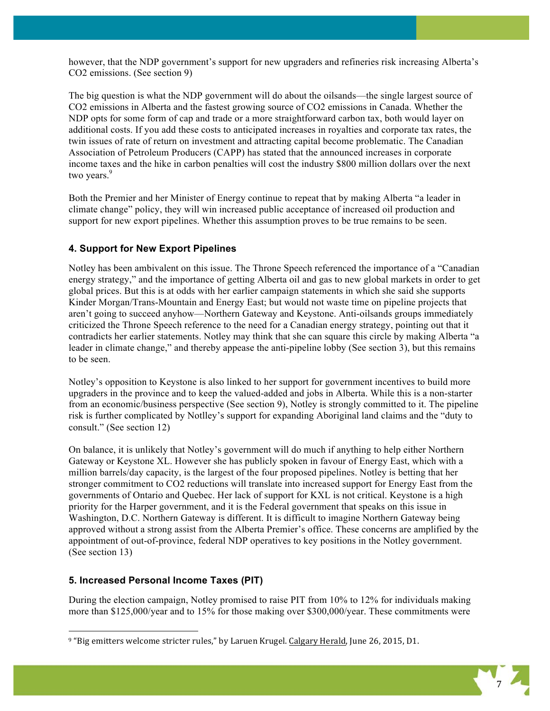however, that the NDP government's support for new upgraders and refineries risk increasing Alberta's CO2 emissions. (See section 9)

The big question is what the NDP government will do about the oilsands—the single largest source of CO2 emissions in Alberta and the fastest growing source of CO2 emissions in Canada. Whether the NDP opts for some form of cap and trade or a more straightforward carbon tax, both would layer on additional costs. If you add these costs to anticipated increases in royalties and corporate tax rates, the twin issues of rate of return on investment and attracting capital become problematic. The Canadian Association of Petroleum Producers (CAPP) has stated that the announced increases in corporate income taxes and the hike in carbon penalties will cost the industry \$800 million dollars over the next two years.<sup>9</sup>

Both the Premier and her Minister of Energy continue to repeat that by making Alberta "a leader in climate change" policy, they will win increased public acceptance of increased oil production and support for new export pipelines. Whether this assumption proves to be true remains to be seen.

### **4. Support for New Export Pipelines**

Notley has been ambivalent on this issue. The Throne Speech referenced the importance of a "Canadian energy strategy," and the importance of getting Alberta oil and gas to new global markets in order to get global prices. But this is at odds with her earlier campaign statements in which she said she supports Kinder Morgan/Trans-Mountain and Energy East; but would not waste time on pipeline projects that aren't going to succeed anyhow—Northern Gateway and Keystone. Anti-oilsands groups immediately criticized the Throne Speech reference to the need for a Canadian energy strategy, pointing out that it contradicts her earlier statements. Notley may think that she can square this circle by making Alberta "a leader in climate change," and thereby appease the anti-pipeline lobby (See section 3), but this remains to be seen.

Notley's opposition to Keystone is also linked to her support for government incentives to build more upgraders in the province and to keep the valued-added and jobs in Alberta. While this is a non-starter from an economic/business perspective (See section 9), Notley is strongly committed to it. The pipeline risk is further complicated by Notlley's support for expanding Aboriginal land claims and the "duty to consult." (See section 12)

On balance, it is unlikely that Notley's government will do much if anything to help either Northern Gateway or Keystone XL. However she has publicly spoken in favour of Energy East, which with a million barrels/day capacity, is the largest of the four proposed pipelines. Notley is betting that her stronger commitment to CO2 reductions will translate into increased support for Energy East from the governments of Ontario and Quebec. Her lack of support for KXL is not critical. Keystone is a high priority for the Harper government, and it is the Federal government that speaks on this issue in Washington, D.C. Northern Gateway is different. It is difficult to imagine Northern Gateway being approved without a strong assist from the Alberta Premier's office. These concerns are amplified by the appointment of out-of-province, federal NDP operatives to key positions in the Notley government. (See section 13)

### **5. Increased Personal Income Taxes (PIT)**

!!!!!!!!!!!!!!!!!!!!!!!!!!!!!!!!!!!!!!!!!!!!!!!!!!!!!!!!!!!!

During the election campaign, Notley promised to raise PIT from 10% to 12% for individuals making more than \$125,000/year and to 15% for those making over \$300,000/year. These commitments were



<sup>&</sup>lt;sup>9</sup> "Big emitters welcome stricter rules," by Laruen Krugel. Calgary Herald, June 26, 2015, D1.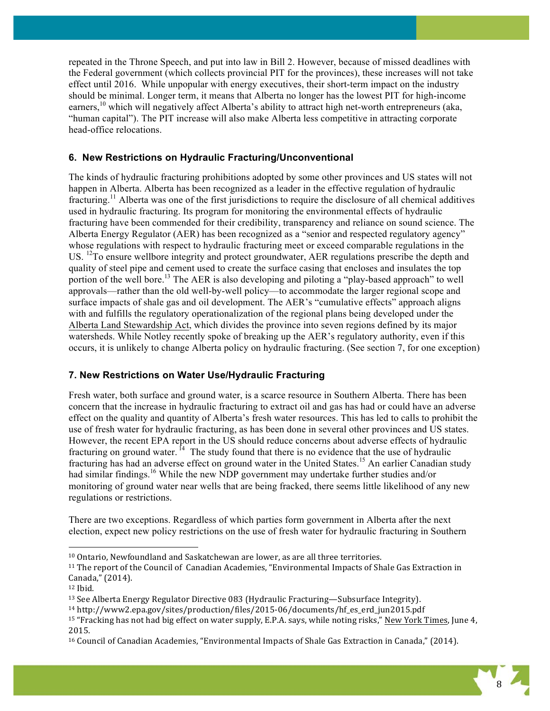repeated in the Throne Speech, and put into law in Bill 2. However, because of missed deadlines with the Federal government (which collects provincial PIT for the provinces), these increases will not take effect until 2016. While unpopular with energy executives, their short-term impact on the industry should be minimal. Longer term, it means that Alberta no longer has the lowest PIT for high-income earners,<sup>10</sup> which will negatively affect Alberta's ability to attract high net-worth entrepreneurs (aka, "human capital"). The PIT increase will also make Alberta less competitive in attracting corporate head-office relocations.

# **6. New Restrictions on Hydraulic Fracturing/Unconventional**

The kinds of hydraulic fracturing prohibitions adopted by some other provinces and US states will not happen in Alberta. Alberta has been recognized as a leader in the effective regulation of hydraulic fracturing.<sup>11</sup> Alberta was one of the first jurisdictions to require the disclosure of all chemical additives used in hydraulic fracturing. Its program for monitoring the environmental effects of hydraulic fracturing have been commended for their credibility, transparency and reliance on sound science. The Alberta Energy Regulator (AER) has been recognized as a "senior and respected regulatory agency" whose regulations with respect to hydraulic fracturing meet or exceed comparable regulations in the US. <sup>12</sup>To ensure wellbore integrity and protect groundwater, AER regulations prescribe the depth and quality of steel pipe and cement used to create the surface casing that encloses and insulates the top portion of the well bore.<sup>13</sup> The AER is also developing and piloting a "play-based approach" to well approvals—rather than the old well-by-well policy—to accommodate the larger regional scope and surface impacts of shale gas and oil development. The AER's "cumulative effects" approach aligns with and fulfills the regulatory operationalization of the regional plans being developed under the Alberta Land Stewardship Act, which divides the province into seven regions defined by its major watersheds. While Notley recently spoke of breaking up the AER's regulatory authority, even if this occurs, it is unlikely to change Alberta policy on hydraulic fracturing. (See section 7, for one exception)

# **7. New Restrictions on Water Use/Hydraulic Fracturing**

Fresh water, both surface and ground water, is a scarce resource in Southern Alberta. There has been concern that the increase in hydraulic fracturing to extract oil and gas has had or could have an adverse effect on the quality and quantity of Alberta's fresh water resources. This has led to calls to prohibit the use of fresh water for hydraulic fracturing, as has been done in several other provinces and US states. However, the recent EPA report in the US should reduce concerns about adverse effects of hydraulic fracturing on ground water.  $\hat{I}^4$  The study found that there is no evidence that the use of hydraulic fracturing has had an adverse effect on ground water in the United States.<sup>15</sup> An earlier Canadian study had similar findings. <sup>16</sup> While the new NDP government may undertake further studies and/or monitoring of ground water near wells that are being fracked, there seems little likelihood of any new regulations or restrictions.

There are two exceptions. Regardless of which parties form government in Alberta after the next election, expect new policy restrictions on the use of fresh water for hydraulic fracturing in Southern

<sup>&</sup>lt;sup>10</sup> Ontario, Newfoundland and Saskatchewan are lower, as are all three territories.

<sup>&</sup>lt;sup>11</sup> The report of the Council of Canadian Academies, "Environmental Impacts of Shale Gas Extraction in Canada," (2014).

<sup>12</sup> Ibid.

<sup>&</sup>lt;sup>13</sup> See Alberta Energy Regulator Directive 083 (Hydraulic Fracturing—Subsurface Integrity).

 $14$  http://www2.epa.gov/sites/production/files/2015-06/documents/hf\_es\_erd\_jun2015.pdf

<sup>&</sup>lt;sup>15</sup> "Fracking has not had big effect on water supply, E.P.A. says, while noting risks," New York Times, June 4, 2015.!

<sup>&</sup>lt;sup>16</sup> Council of Canadian Academies, "Environmental Impacts of Shale Gas Extraction in Canada," (2014).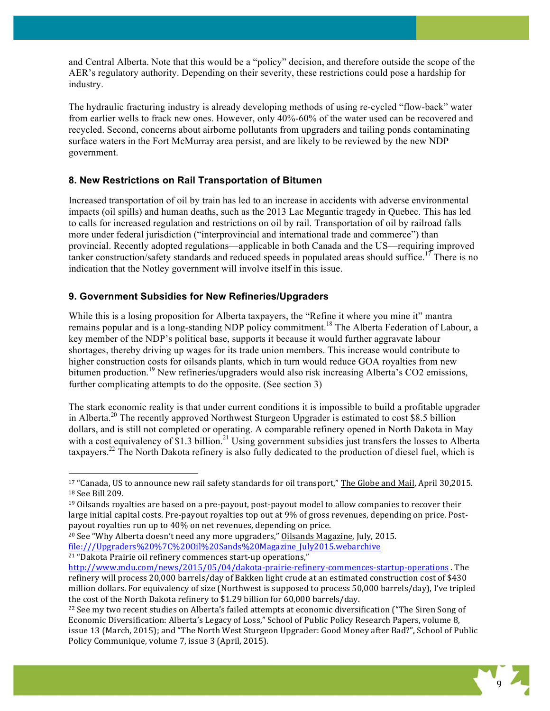and Central Alberta. Note that this would be a "policy" decision, and therefore outside the scope of the AER's regulatory authority. Depending on their severity, these restrictions could pose a hardship for industry.

The hydraulic fracturing industry is already developing methods of using re-cycled "flow-back" water from earlier wells to frack new ones. However, only 40%-60% of the water used can be recovered and recycled. Second, concerns about airborne pollutants from upgraders and tailing ponds contaminating surface waters in the Fort McMurray area persist, and are likely to be reviewed by the new NDP government.

# **8. New Restrictions on Rail Transportation of Bitumen**

Increased transportation of oil by train has led to an increase in accidents with adverse environmental impacts (oil spills) and human deaths, such as the 2013 Lac Megantic tragedy in Quebec. This has led to calls for increased regulation and restrictions on oil by rail. Transportation of oil by railroad falls more under federal jurisdiction ("interprovincial and international trade and commerce") than provincial. Recently adopted regulations—applicable in both Canada and the US—requiring improved tanker construction/safety standards and reduced speeds in populated areas should suffice.<sup>17</sup> There is no indication that the Notley government will involve itself in this issue.

# **9. Government Subsidies for New Refineries/Upgraders**

!!!!!!!!!!!!!!!!!!!!!!!!!!!!!!!!!!!!!!!!!!!!!!!!!!!!!!!!!!!!

While this is a losing proposition for Alberta taxpayers, the "Refine it where you mine it" mantra remains popular and is a long-standing NDP policy commitment. <sup>18</sup> The Alberta Federation of Labour, a key member of the NDP's political base, supports it because it would further aggravate labour shortages, thereby driving up wages for its trade union members. This increase would contribute to higher construction costs for oilsands plants, which in turn would reduce GOA royalties from new bitumen production.<sup>19</sup> New refineries/upgraders would also risk increasing Alberta's CO2 emissions, further complicating attempts to do the opposite. (See section 3)

The stark economic reality is that under current conditions it is impossible to build a profitable upgrader in Alberta.<sup>20</sup> The recently approved Northwest Sturgeon Upgrader is estimated to cost \$8.5 billion dollars, and is still not completed or operating. A comparable refinery opened in North Dakota in May with a cost equivalency of \$1.3 billion.<sup>21</sup> Using government subsidies just transfers the losses to Alberta taxpayers.<sup>22</sup> The North Dakota refinery is also fully dedicated to the production of diesel fuel, which is

<sup>&</sup>lt;sup>22</sup> See my two recent studies on Alberta's failed attempts at economic diversification ("The Siren Song of Economic Diversification: Alberta's Legacy of Loss," School of Public Policy Research Papers, volume 8, issue 13 (March, 2015); and "The North West Sturgeon Upgrader: Good Money after Bad?", School of Public Policy Communique, volume 7, issue 3 (April, 2015).



 $17$  "Canada, US to announce new rail safety standards for oil transport," The Globe and Mail, April 30,2015. <sup>18</sup> See Bill 209.

 $19$  Oilsands royalties are based on a pre-payout, post-payout model to allow companies to recover their large initial capital costs. Pre-payout royalties top out at 9% of gross revenues, depending on price. Postpayout royalties run up to 40% on net revenues, depending on price.

<sup>&</sup>lt;sup>20</sup> See "Why Alberta doesn't need any more upgraders," Oilsands Magazine, July, 2015. file:///Upgraders%20%7C%20Oil%20Sands%20Magazine\_July2015.webarchive <sup>21</sup> "Dakota Prairie oil refinery commences start-up operations,"

http://www.mdu.com/news/2015/05/04/dakota-prairie-refinery-commences-startup-operations . The refinery will process 20,000 barrels/day of Bakken light crude at an estimated construction cost of \$430 million dollars. For equivalency of size (Northwest is supposed to process 50,000 barrels/day), I've tripled the cost of the North Dakota refinery to  $$1.29$  billion for 60,000 barrels/day.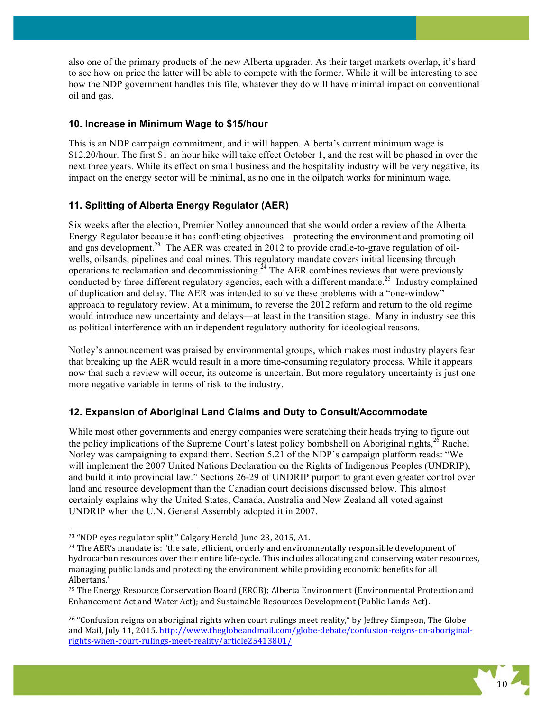also one of the primary products of the new Alberta upgrader. As their target markets overlap, it's hard to see how on price the latter will be able to compete with the former. While it will be interesting to see how the NDP government handles this file, whatever they do will have minimal impact on conventional oil and gas.

## **10. Increase in Minimum Wage to \$15/hour**

This is an NDP campaign commitment, and it will happen. Alberta's current minimum wage is \$12.20/hour. The first \$1 an hour hike will take effect October 1, and the rest will be phased in over the next three years. While its effect on small business and the hospitality industry will be very negative, its impact on the energy sector will be minimal, as no one in the oilpatch works for minimum wage.

# **11. Splitting of Alberta Energy Regulator (AER)**

Six weeks after the election, Premier Notley announced that she would order a review of the Alberta Energy Regulator because it has conflicting objectives—protecting the environment and promoting oil and gas development.<sup>23</sup> The AER was created in 2012 to provide cradle-to-grave regulation of oilwells, oilsands, pipelines and coal mines. This regulatory mandate covers initial licensing through operations to reclamation and decommissioning.<sup>24</sup> The AER combines reviews that were previously conducted by three different regulatory agencies, each with a different mandate.<sup>25</sup> Industry complained of duplication and delay. The AER was intended to solve these problems with a "one-window" approach to regulatory review. At a minimum, to reverse the 2012 reform and return to the old regime would introduce new uncertainty and delays—at least in the transition stage. Many in industry see this as political interference with an independent regulatory authority for ideological reasons.

Notley's announcement was praised by environmental groups, which makes most industry players fear that breaking up the AER would result in a more time-consuming regulatory process. While it appears now that such a review will occur, its outcome is uncertain. But more regulatory uncertainty is just one more negative variable in terms of risk to the industry.

# **12. Expansion of Aboriginal Land Claims and Duty to Consult/Accommodate**

While most other governments and energy companies were scratching their heads trying to figure out the policy implications of the Supreme Court's latest policy bombshell on Aboriginal rights, $2\overline{6}$  Rachel Notley was campaigning to expand them. Section 5.21 of the NDP's campaign platform reads: "We will implement the 2007 United Nations Declaration on the Rights of Indigenous Peoples (UNDRIP), and build it into provincial law." Sections 26-29 of UNDRIP purport to grant even greater control over land and resource development than the Canadian court decisions discussed below. This almost certainly explains why the United States, Canada, Australia and New Zealand all voted against UNDRIP when the U.N. General Assembly adopted it in 2007.

 $26$  "Confusion reigns on aboriginal rights when court rulings meet reality," by Jeffrey Simpson, The Globe and Mail, July 11, 2015. http://www.theglobeandmail.com/globe-debate/confusion-reigns-on-aboriginalrights-when-court-rulings-meet-reality/article25413801/



<sup>&</sup>lt;sup>23</sup> "NDP eyes regulator split," Calgary Herald, June 23, 2015, A1.

<sup>&</sup>lt;sup>24</sup> The AER's mandate is: "the safe, efficient, orderly and environmentally responsible development of hydrocarbon resources over their entire life-cycle. This includes allocating and conserving water resources, managing public lands and protecting the environment while providing economic benefits for all Albertans."

<sup>&</sup>lt;sup>25</sup> The Energy Resource Conservation Board (ERCB); Alberta Environment (Environmental Protection and Enhancement Act and Water Act); and Sustainable Resources Development (Public Lands Act).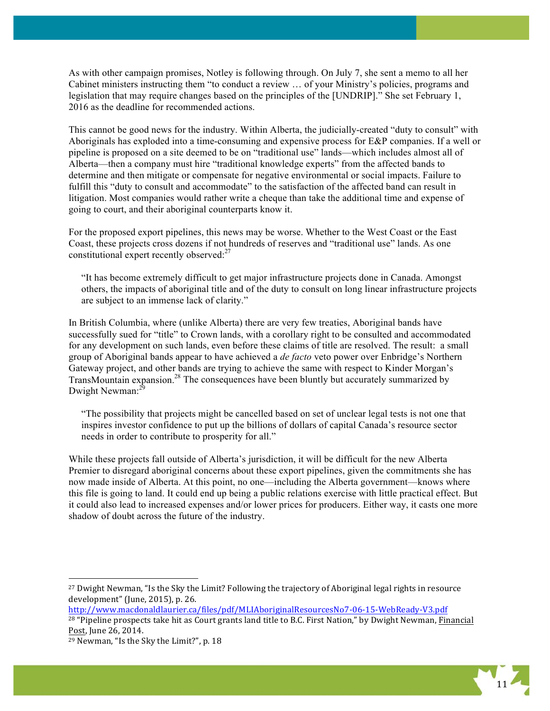As with other campaign promises, Notley is following through. On July 7, she sent a memo to all her Cabinet ministers instructing them "to conduct a review … of your Ministry's policies, programs and legislation that may require changes based on the principles of the [UNDRIP]." She set February 1, 2016 as the deadline for recommended actions.

This cannot be good news for the industry. Within Alberta, the judicially-created "duty to consult" with Aboriginals has exploded into a time-consuming and expensive process for E&P companies. If a well or pipeline is proposed on a site deemed to be on "traditional use" lands—which includes almost all of Alberta—then a company must hire "traditional knowledge experts" from the affected bands to determine and then mitigate or compensate for negative environmental or social impacts. Failure to fulfill this "duty to consult and accommodate" to the satisfaction of the affected band can result in litigation. Most companies would rather write a cheque than take the additional time and expense of going to court, and their aboriginal counterparts know it.

For the proposed export pipelines, this news may be worse. Whether to the West Coast or the East Coast, these projects cross dozens if not hundreds of reserves and "traditional use" lands. As one constitutional expert recently observed:<sup>27</sup>

"It has become extremely difficult to get major infrastructure projects done in Canada. Amongst others, the impacts of aboriginal title and of the duty to consult on long linear infrastructure projects are subject to an immense lack of clarity."

In British Columbia, where (unlike Alberta) there are very few treaties, Aboriginal bands have successfully sued for "title" to Crown lands, with a corollary right to be consulted and accommodated for any development on such lands, even before these claims of title are resolved. The result: a small group of Aboriginal bands appear to have achieved a *de facto* veto power over Enbridge's Northern Gateway project, and other bands are trying to achieve the same with respect to Kinder Morgan's TransMountain expansion.<sup>28</sup> The consequences have been bluntly but accurately summarized by Dwight Newman:<sup>29</sup>

"The possibility that projects might be cancelled based on set of unclear legal tests is not one that inspires investor confidence to put up the billions of dollars of capital Canada's resource sector needs in order to contribute to prosperity for all."

While these projects fall outside of Alberta's jurisdiction, it will be difficult for the new Alberta Premier to disregard aboriginal concerns about these export pipelines, given the commitments she has now made inside of Alberta. At this point, no one—including the Alberta government—knows where this file is going to land. It could end up being a public relations exercise with little practical effect. But it could also lead to increased expenses and/or lower prices for producers. Either way, it casts one more shadow of doubt across the future of the industry.

http://www.macdonaldlaurier.ca/files/pdf/MLIAboriginalResourcesNo7-06-15-WebReady-V3.pdf <sup>28</sup> "Pipeline prospects take hit as Court grants land title to B.C. First Nation," by Dwight Newman, Financial Post, June 26, 2014.



<sup>&</sup>lt;sup>27</sup> Dwight Newman, "Is the Sky the Limit? Following the trajectory of Aboriginal legal rights in resource development" (June, 2015), p. 26.

<sup>&</sup>lt;sup>29</sup> Newman, "Is the Sky the Limit?", p. 18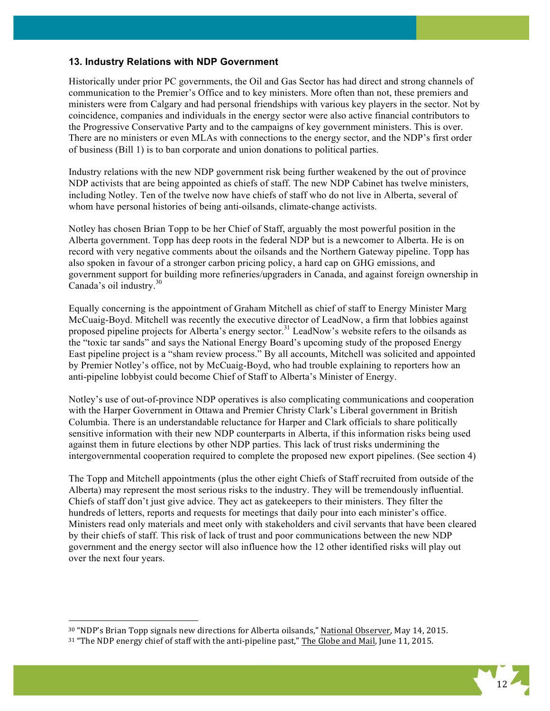### **13. Industry Relations with NDP Government**

Historically under prior PC governments, the Oil and Gas Sector has had direct and strong channels of communication to the Premier's Office and to key ministers. More often than not, these premiers and ministers were from Calgary and had personal friendships with various key players in the sector. Not by coincidence, companies and individuals in the energy sector were also active financial contributors to the Progressive Conservative Party and to the campaigns of key government ministers. This is over. There are no ministers or even MLAs with connections to the energy sector, and the NDP's first order of business (Bill 1) is to ban corporate and union donations to political parties.

Industry relations with the new NDP government risk being further weakened by the out of province NDP activists that are being appointed as chiefs of staff. The new NDP Cabinet has twelve ministers, including Notley. Ten of the twelve now have chiefs of staff who do not live in Alberta, several of whom have personal histories of being anti-oilsands, climate-change activists.

Notley has chosen Brian Topp to be her Chief of Staff, arguably the most powerful position in the Alberta government. Topp has deep roots in the federal NDP but is a newcomer to Alberta. He is on record with very negative comments about the oilsands and the Northern Gateway pipeline. Topp has also spoken in favour of a stronger carbon pricing policy, a hard cap on GHG emissions, and government support for building more refineries/upgraders in Canada, and against foreign ownership in Canada's oil industry. $30$ 

Equally concerning is the appointment of Graham Mitchell as chief of staff to Energy Minister Marg McCuaig-Boyd. Mitchell was recently the executive director of LeadNow, a firm that lobbies against proposed pipeline projects for Alberta's energy sector.<sup>31</sup> LeadNow's website refers to the oilsands as the "toxic tar sands" and says the National Energy Board's upcoming study of the proposed Energy East pipeline project is a "sham review process." By all accounts, Mitchell was solicited and appointed by Premier Notley's office, not by McCuaig-Boyd, who had trouble explaining to reporters how an anti-pipeline lobbyist could become Chief of Staff to Alberta's Minister of Energy.

Notley's use of out-of-province NDP operatives is also complicating communications and cooperation with the Harper Government in Ottawa and Premier Christy Clark's Liberal government in British Columbia. There is an understandable reluctance for Harper and Clark officials to share politically sensitive information with their new NDP counterparts in Alberta, if this information risks being used against them in future elections by other NDP parties. This lack of trust risks undermining the intergovernmental cooperation required to complete the proposed new export pipelines. (See section 4)

The Topp and Mitchell appointments (plus the other eight Chiefs of Staff recruited from outside of the Alberta) may represent the most serious risks to the industry. They will be tremendously influential. Chiefs of staff don't just give advice. They act as gatekeepers to their ministers. They filter the hundreds of letters, reports and requests for meetings that daily pour into each minister's office. Ministers read only materials and meet only with stakeholders and civil servants that have been cleared by their chiefs of staff. This risk of lack of trust and poor communications between the new NDP government and the energy sector will also influence how the 12 other identified risks will play out over the next four years.



<sup>30 &</sup>quot;NDP's Brian Topp signals new directions for Alberta oilsands," National Observer, May 14, 2015.

<sup>31 &</sup>quot;The NDP energy chief of staff with the anti-pipeline past," The Globe and Mail, June 11, 2015.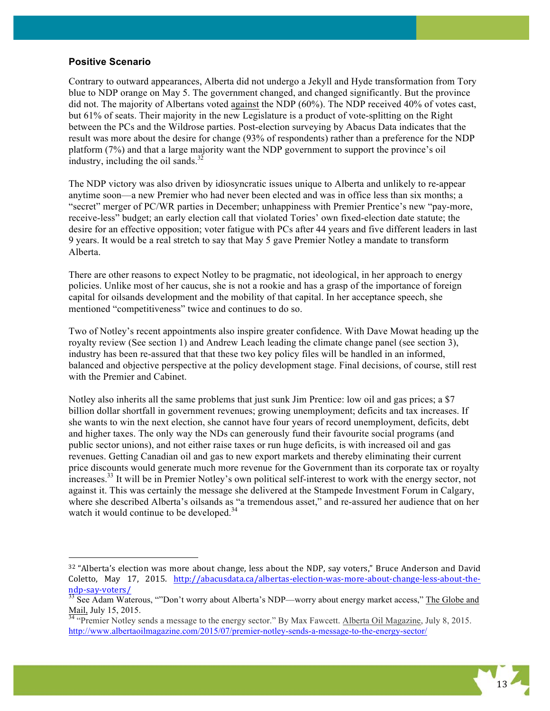## **Positive Scenario**

!!!!!!!!!!!!!!!!!!!!!!!!!!!!!!!!!!!!!!!!!!!!!!!!!!!!!!!!!!!!

Contrary to outward appearances, Alberta did not undergo a Jekyll and Hyde transformation from Tory blue to NDP orange on May 5. The government changed, and changed significantly. But the province did not. The majority of Albertans voted against the NDP (60%). The NDP received 40% of votes cast, but 61% of seats. Their majority in the new Legislature is a product of vote-splitting on the Right between the PCs and the Wildrose parties. Post-election surveying by Abacus Data indicates that the result was more about the desire for change (93% of respondents) rather than a preference for the NDP platform (7%) and that a large majority want the NDP government to support the province's oil industry, including the oil sands. $32$ 

The NDP victory was also driven by idiosyncratic issues unique to Alberta and unlikely to re-appear anytime soon—a new Premier who had never been elected and was in office less than six months; a "secret" merger of PC/WR parties in December; unhappiness with Premier Prentice's new "pay-more, receive-less" budget; an early election call that violated Tories' own fixed-election date statute; the desire for an effective opposition; voter fatigue with PCs after 44 years and five different leaders in last 9 years. It would be a real stretch to say that May 5 gave Premier Notley a mandate to transform Alberta.

There are other reasons to expect Notley to be pragmatic, not ideological, in her approach to energy policies. Unlike most of her caucus, she is not a rookie and has a grasp of the importance of foreign capital for oilsands development and the mobility of that capital. In her acceptance speech, she mentioned "competitiveness" twice and continues to do so.

Two of Notley's recent appointments also inspire greater confidence. With Dave Mowat heading up the royalty review (See section 1) and Andrew Leach leading the climate change panel (see section 3), industry has been re-assured that that these two key policy files will be handled in an informed, balanced and objective perspective at the policy development stage. Final decisions, of course, still rest with the Premier and Cabinet.

Notley also inherits all the same problems that just sunk Jim Prentice: low oil and gas prices; a \$7 billion dollar shortfall in government revenues; growing unemployment; deficits and tax increases. If she wants to win the next election, she cannot have four years of record unemployment, deficits, debt and higher taxes. The only way the NDs can generously fund their favourite social programs (and public sector unions), and not either raise taxes or run huge deficits, is with increased oil and gas revenues. Getting Canadian oil and gas to new export markets and thereby eliminating their current price discounts would generate much more revenue for the Government than its corporate tax or royalty increases.33 It will be in Premier Notley's own political self-interest to work with the energy sector, not against it. This was certainly the message she delivered at the Stampede Investment Forum in Calgary, where she described Alberta's oilsands as "a tremendous asset," and re-assured her audience that on her watch it would continue to be developed.<sup>34</sup>

http://www.albertaoilmagazine.com/2015/07/premier-notley-sends-a-message-to-the-energy-sector/



<sup>32 &</sup>quot;Alberta's election was more about change, less about the NDP, say voters," Bruce Anderson and David Coletto, May 17, 2015. http://abacusdata.ca/albertas-election-was-more-about-change-less-about-thendp-say-voters/<br><sup>33</sup> See Adam Waterous, ""Don't worry about Alberta's NDP—worry about energy market access," The Globe and

Mail, July 15, 2015.<br><sup>34</sup> "Premier Notley sends a message to the energy sector." By Max Fawcett. <u>Alberta Oil Magazine</u>, July 8, 2015.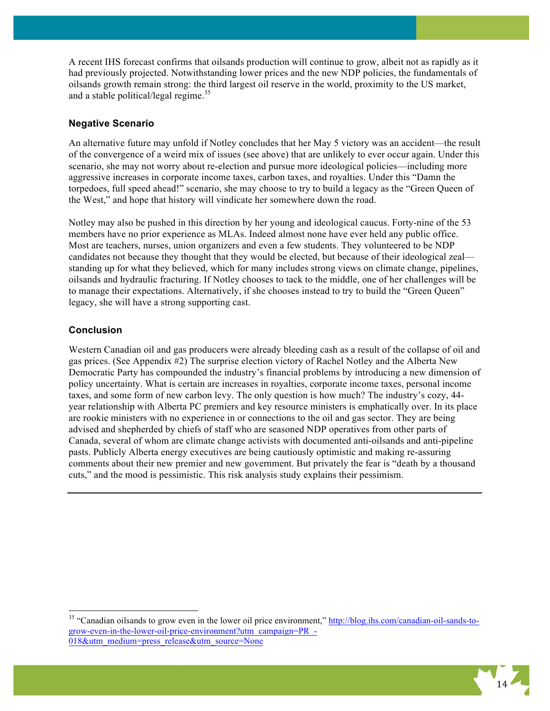A recent IHS forecast confirms that oilsands production will continue to grow, albeit not as rapidly as it had previously projected. Notwithstanding lower prices and the new NDP policies, the fundamentals of oilsands growth remain strong: the third largest oil reserve in the world, proximity to the US market, and a stable political/legal regime.<sup>35</sup>

## **Negative Scenario**

An alternative future may unfold if Notley concludes that her May 5 victory was an accident—the result of the convergence of a weird mix of issues (see above) that are unlikely to ever occur again. Under this scenario, she may not worry about re-election and pursue more ideological policies—including more aggressive increases in corporate income taxes, carbon taxes, and royalties. Under this "Damn the torpedoes, full speed ahead!" scenario, she may choose to try to build a legacy as the "Green Queen of the West," and hope that history will vindicate her somewhere down the road.

Notley may also be pushed in this direction by her young and ideological caucus. Forty-nine of the 53 members have no prior experience as MLAs. Indeed almost none have ever held any public office. Most are teachers, nurses, union organizers and even a few students. They volunteered to be NDP candidates not because they thought that they would be elected, but because of their ideological zeal standing up for what they believed, which for many includes strong views on climate change, pipelines, oilsands and hydraulic fracturing. If Notley chooses to tack to the middle, one of her challenges will be to manage their expectations. Alternatively, if she chooses instead to try to build the "Green Queen" legacy, she will have a strong supporting cast.

### **Conclusion**

Western Canadian oil and gas producers were already bleeding cash as a result of the collapse of oil and gas prices. (See Appendix #2) The surprise election victory of Rachel Notley and the Alberta New Democratic Party has compounded the industry's financial problems by introducing a new dimension of policy uncertainty. What is certain are increases in royalties, corporate income taxes, personal income taxes, and some form of new carbon levy. The only question is how much? The industry's cozy, 44 year relationship with Alberta PC premiers and key resource ministers is emphatically over. In its place are rookie ministers with no experience in or connections to the oil and gas sector. They are being advised and shepherded by chiefs of staff who are seasoned NDP operatives from other parts of Canada, several of whom are climate change activists with documented anti-oilsands and anti-pipeline pasts. Publicly Alberta energy executives are being cautiously optimistic and making re-assuring comments about their new premier and new government. But privately the fear is "death by a thousand cuts," and the mood is pessimistic. This risk analysis study explains their pessimism.

<sup>&</sup>lt;sup>35</sup> "Canadian oilsands to grow even in the lower oil price environment," http://blog.ihs.com/canadian-oil-sands-togrow-even-in-the-lower-oil-price-environment?utm\_campaign=PR\_- 018&utm\_medium=press\_release&utm\_source=None

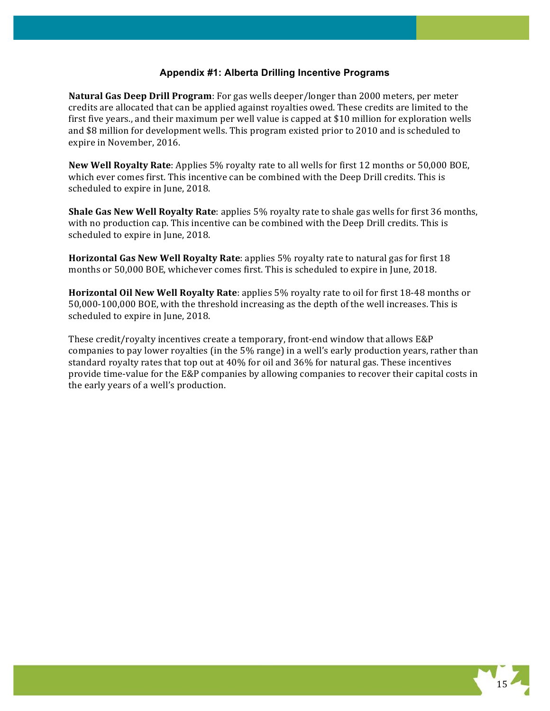## **Appendix #1: Alberta Drilling Incentive Programs**

**Natural Gas Deep Drill Program**: For gas wells deeper/longer than 2000 meters, per meter credits are allocated that can be applied against royalties owed. These credits are limited to the first five years., and their maximum per well value is capped at \$10 million for exploration wells and \$8 million for development wells. This program existed prior to 2010 and is scheduled to expire in November, 2016.

New Well Royalty Rate: Applies 5% royalty rate to all wells for first 12 months or 50,000 BOE, which ever comes first. This incentive can be combined with the Deep Drill credits. This is scheduled to expire in June, 2018.

**Shale Gas New Well Royalty Rate:** applies 5% royalty rate to shale gas wells for first 36 months, with no production cap. This incentive can be combined with the Deep Drill credits. This is scheduled to expire in June, 2018.

**Horizontal Gas New Well Royalty Rate:** applies 5% royalty rate to natural gas for first 18 months or 50,000 BOE, whichever comes first. This is scheduled to expire in June, 2018.

**Horizontal Oil New Well Royalty Rate:** applies 5% royalty rate to oil for first 18-48 months or 50,000-100,000 BOE, with the threshold increasing as the depth of the well increases. This is scheduled to expire in June, 2018.

These credit/royalty incentives create a temporary, front-end window that allows  $E\&P$ companies to pay lower royalties (in the 5% range) in a well's early production years, rather than standard royalty rates that top out at  $40\%$  for oil and  $36\%$  for natural gas. These incentives provide time-value for the E&P companies by allowing companies to recover their capital costs in the early years of a well's production.